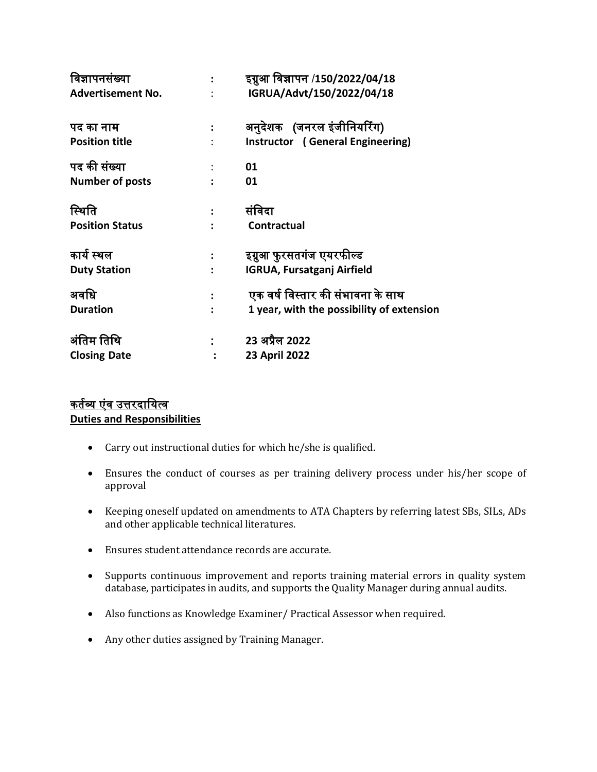| विज्ञापनसंख्या           |                      | इग्नुआ विज्ञापन /150/2022/04/18           |
|--------------------------|----------------------|-------------------------------------------|
| <b>Advertisement No.</b> |                      | IGRUA/Advt/150/2022/04/18                 |
| पद का नाम                |                      | अनुदेशक (जनरल इंजीनियरिंग)                |
| <b>Position title</b>    |                      | Instructor (General Engineering)          |
| पद की संख्या             |                      | 01                                        |
| <b>Number of posts</b>   |                      | 01                                        |
| स्थिति                   | $\ddot{\phantom{a}}$ | संविदा                                    |
| <b>Position Status</b>   |                      | <b>Contractual</b>                        |
| कार्य स्थल               | $\ddot{\cdot}$       | इग्नुआ फुरसतगंज एयरफील्ड                  |
| <b>Duty Station</b>      |                      | <b>IGRUA, Fursatganj Airfield</b>         |
| अवधि                     |                      | एक वर्ष विस्तार की संभावना के साथ         |
| <b>Duration</b>          |                      | 1 year, with the possibility of extension |
| अंतिम तिथि               |                      | 23 अप्रैल 2022                            |
| <b>Closing Date</b>      |                      | 23 April 2022                             |

# कर्तव्य एंव उत्तरदायित्व **Duties and Responsibilities**

- Carry out instructional duties for which he/she is qualified.
- Ensures the conduct of courses as per training delivery process under his/her scope of approval
- Keeping oneself updated on amendments to ATA Chapters by referring latest SBs, SILs, ADs and other applicable technical literatures.
- Ensures student attendance records are accurate.
- Supports continuous improvement and reports training material errors in quality system database, participates in audits, and supports the Quality Manager during annual audits.
- Also functions as Knowledge Examiner/ Practical Assessor when required.
- Any other duties assigned by Training Manager.